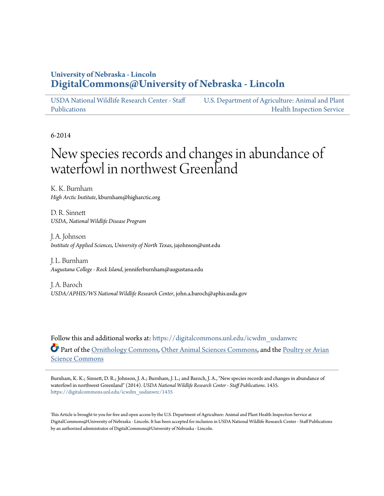# **University of Nebraska - Lincoln [DigitalCommons@University of Nebraska - Lincoln](https://digitalcommons.unl.edu?utm_source=digitalcommons.unl.edu%2Ficwdm_usdanwrc%2F1435&utm_medium=PDF&utm_campaign=PDFCoverPages)**

[USDA National Wildlife Research Center - Staff](https://digitalcommons.unl.edu/icwdm_usdanwrc?utm_source=digitalcommons.unl.edu%2Ficwdm_usdanwrc%2F1435&utm_medium=PDF&utm_campaign=PDFCoverPages) [Publications](https://digitalcommons.unl.edu/icwdm_usdanwrc?utm_source=digitalcommons.unl.edu%2Ficwdm_usdanwrc%2F1435&utm_medium=PDF&utm_campaign=PDFCoverPages)

[U.S. Department of Agriculture: Animal and Plant](https://digitalcommons.unl.edu/usdaaphis?utm_source=digitalcommons.unl.edu%2Ficwdm_usdanwrc%2F1435&utm_medium=PDF&utm_campaign=PDFCoverPages) [Health Inspection Service](https://digitalcommons.unl.edu/usdaaphis?utm_source=digitalcommons.unl.edu%2Ficwdm_usdanwrc%2F1435&utm_medium=PDF&utm_campaign=PDFCoverPages)

6-2014

# New species records and changes in abundance of waterfowl in northwest Greenland

K. K. Burnham *High Arctic Institute*, kburnham@higharctic.org

D. R. Sinnett *USDA, National Wildlife Disease Program*

J. A. Johnson *Institute of Applied Sciences, University of North Texas*, jajohnson@unt.edu

J. L. Burnham *Augustana College - Rock Island*, jenniferburnham@augustana.edu

J. A. Baroch *USDA/APHIS/WS National Wildlife Research Center*, john.a.baroch@aphis.usda.gov

Follow this and additional works at: [https://digitalcommons.unl.edu/icwdm\\_usdanwrc](https://digitalcommons.unl.edu/icwdm_usdanwrc?utm_source=digitalcommons.unl.edu%2Ficwdm_usdanwrc%2F1435&utm_medium=PDF&utm_campaign=PDFCoverPages) Part of the [Ornithology Commons](http://network.bepress.com/hgg/discipline/1190?utm_source=digitalcommons.unl.edu%2Ficwdm_usdanwrc%2F1435&utm_medium=PDF&utm_campaign=PDFCoverPages), [Other Animal Sciences Commons](http://network.bepress.com/hgg/discipline/82?utm_source=digitalcommons.unl.edu%2Ficwdm_usdanwrc%2F1435&utm_medium=PDF&utm_campaign=PDFCoverPages), and the [Poultry or Avian](http://network.bepress.com/hgg/discipline/80?utm_source=digitalcommons.unl.edu%2Ficwdm_usdanwrc%2F1435&utm_medium=PDF&utm_campaign=PDFCoverPages) [Science Commons](http://network.bepress.com/hgg/discipline/80?utm_source=digitalcommons.unl.edu%2Ficwdm_usdanwrc%2F1435&utm_medium=PDF&utm_campaign=PDFCoverPages)

Burnham, K. K.; Sinnett, D. R.; Johnson, J. A.; Burnham, J. L.; and Baroch, J. A., "New species records and changes in abundance of waterfowl in northwest Greenland" (2014). *USDA National Wildlife Research Center - Staff Publications*. 1435. [https://digitalcommons.unl.edu/icwdm\\_usdanwrc/1435](https://digitalcommons.unl.edu/icwdm_usdanwrc/1435?utm_source=digitalcommons.unl.edu%2Ficwdm_usdanwrc%2F1435&utm_medium=PDF&utm_campaign=PDFCoverPages)

This Article is brought to you for free and open access by the U.S. Department of Agriculture: Animal and Plant Health Inspection Service at DigitalCommons@University of Nebraska - Lincoln. It has been accepted for inclusion in USDA National Wildlife Research Center - Staff Publications by an authorized administrator of DigitalCommons@University of Nebraska - Lincoln.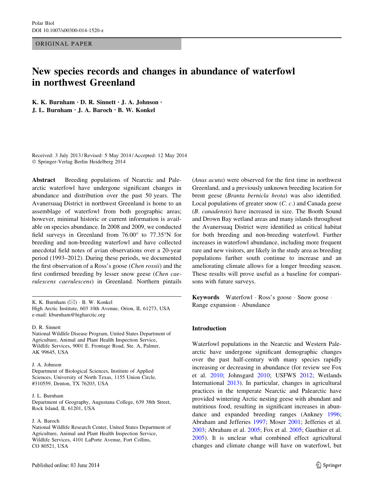ORIGINAL PAPER

# New species records and changes in abundance of waterfowl in northwest Greenland

K. K. Burnham • D. R. Sinnett • J. A. Johnson • J. L. Burnham • J. A. Baroch • B. W. Konkel

Received: 3 July 2013 / Revised: 5 May 2014 / Accepted: 12 May 2014 - Springer-Verlag Berlin Heidelberg 2014

Abstract Breeding populations of Nearctic and Palearctic waterfowl have undergone significant changes in abundance and distribution over the past 50 years. The Avanersuaq District in northwest Greenland is home to an assemblage of waterfowl from both geographic areas; however, minimal historic or current information is available on species abundance. In 2008 and 2009, we conducted field surveys in Greenland from  $76.00^{\circ}$  to  $77.35^{\circ}N$  for breeding and non-breeding waterfowl and have collected anecdotal field notes of avian observations over a 20-year period (1993–2012). During these periods, we documented the first observation of a Ross's goose (Chen rossii) and the first confirmed breeding by lesser snow geese (Chen caerulescens caerulescens) in Greenland. Northern pintails

K. K. Burnham  $(\boxtimes) \cdot B$ . W. Konkel High Arctic Institute, 603 10th Avenue, Orion, IL 61273, USA e-mail: kburnham@higharctic.org

#### D. R. Sinnett

National Wildlife Disease Program, United States Department of Agriculture, Animal and Plant Health Inspection Service, Wildlife Services, 9001 E. Frontage Road, Ste. A, Palmer, AK 99645, USA

#### J. A. Johnson

Department of Biological Sciences, Institute of Applied Sciences, University of North Texas, 1155 Union Circle, #310559, Denton, TX 76203, USA

#### J. L. Burnham

Department of Geography, Augustana College, 639 38th Street, Rock Island, IL 61201, USA

#### J. A. Baroch

National Wildlife Research Center, United States Department of Agriculture, Animal and Plant Health Inspection Service, Wildlife Services, 4101 LaPorte Avenue, Fort Collins, CO 80521, USA

(Anas acuta) were observed for the first time in northwest Greenland, and a previously unknown breeding location for brent geese (Branta bernicla hrota) was also identified. Local populations of greater snow (C. c.) and Canada geese (B. canadensis) have increased in size. The Booth Sound and Drown Bay wetland areas and many islands throughout the Avanersuaq District were identified as critical habitat for both breeding and non-breeding waterfowl. Further increases in waterfowl abundance, including more frequent rare and new visitors, are likely in the study area as breeding populations further south continue to increase and an ameliorating climate allows for a longer breeding season. These results will prove useful as a baseline for comparisons with future surveys.

Keywords Waterfowl - Ross's goose - Snow goose - Range expansion - Abundance

### Introduction

Waterfowl populations in the Nearctic and Western Palearctic have undergone significant demographic changes over the past half-century with many species rapidly increasing or decreasing in abundance (for review see Fox et al. [2010;](#page-11-0) Johnsgard [2010;](#page-11-0) USFWS [2012;](#page-12-0) Wetlands International [2013\)](#page-12-0). In particular, changes in agricultural practices in the temperate Nearctic and Palearctic have provided wintering Arctic nesting geese with abundant and nutritious food, resulting in significant increases in abundance and expanded breeding ranges (Ankney [1996](#page-10-0); Abraham and Jefferies [1997](#page-10-0); Moser [2001](#page-12-0); Jefferies et al. [2003](#page-11-0); Abraham et al. [2005](#page-10-0); Fox et al. [2005;](#page-11-0) Gauthier et al. [2005](#page-11-0)). It is unclear what combined effect agricultural changes and climate change will have on waterfowl, but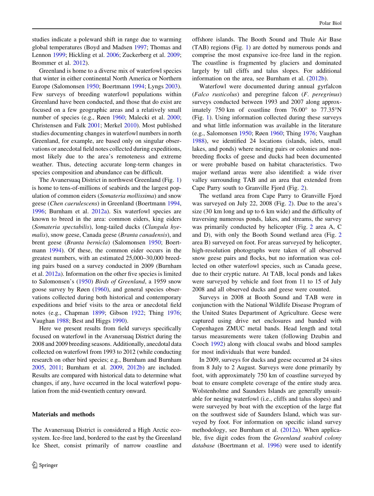studies indicate a poleward shift in range due to warming global temperatures (Boyd and Madsen [1997;](#page-11-0) Thomas and Lennon [1999](#page-12-0); Hickling et al. [2006;](#page-11-0) Zuckerberg et al. [2009](#page-12-0); Brommer et al. [2012](#page-11-0)).

Greenland is home to a diverse mix of waterfowl species that winter in either continental North America or Northern Europe (Salomonsen [1950](#page-12-0); Boertmann [1994](#page-11-0); Lyngs [2003](#page-11-0)). Few surveys of breeding waterfowl populations within Greenland have been conducted, and those that do exist are focused on a few geographic areas and a relatively small number of species (e.g., Røen [1960;](#page-12-0) Malecki et al. [2000](#page-11-0); Christensen and Falk [2001;](#page-11-0) Merkel [2010\)](#page-11-0). Most published studies documenting changes in waterfowl numbers in north Greenland, for example, are based only on singular observations or anecdotal field notes collected during expeditions, most likely due to the area's remoteness and extreme weather. Thus, detecting accurate long-term changes in species composition and abundance can be difficult.

The Avanersuaq District in northwest Greenland (Fig. [1\)](#page-3-0) is home to tens-of-millions of seabirds and the largest population of common eiders (Somateria mollissima) and snow geese (Chen caerulescens) in Greenland (Boertmann [1994,](#page-11-0) [1996;](#page-11-0) Burnham et al. [2012a](#page-11-0)). Six waterfowl species are known to breed in the area: common eiders, king eiders (Somateria spectabilis), long-tailed ducks (Clangula hyemalis), snow geese, Canada geese (Branta canadensis), and brent geese (Branta bernicla) (Salomonsen [1950](#page-12-0); Boertmann [1994](#page-11-0)). Of these, the common eider occurs in the greatest numbers, with an estimated 25,000–30,000 breeding pairs based on a survey conducted in 2009 (Burnham et al. [2012a\)](#page-11-0). Information on the other five species is limited to Salomonsen's [\(1950](#page-12-0)) Birds of Greenland, a 1959 snow goose survey by Røen [\(1960](#page-12-0)), and general species observations collected during both historical and contemporary expeditions and brief visits to the area or anecdotal field notes (e.g., Chapman [1899;](#page-11-0) Gibson [1922;](#page-11-0) Thing [1976](#page-12-0); Vaughan [1988;](#page-12-0) Best and Higgs [1990\)](#page-10-0).

Here we present results from field surveys specifically focused on waterfowl in the Avanersuaq District during the 2008 and 2009 breeding seasons. Additionally, anecdotal data collected on waterfowl from 1993 to 2012 (while conducting research on other bird species; e.g., Burnham and Burnham [2005,](#page-11-0) [2011;](#page-11-0) Burnham et al. [2009,](#page-11-0) [2012b\)](#page-11-0) are included. Results are compared with historical data to determine what changes, if any, have occurred in the local waterfowl population from the mid-twentieth century onward.

# Materials and methods

The Avanersuaq District is considered a High Arctic ecosystem. Ice-free land, bordered to the east by the Greenland Ice Sheet, consist primarily of narrow coastline and offshore islands. The Booth Sound and Thule Air Base (TAB) regions (Fig. [1](#page-3-0)) are dotted by numerous ponds and comprise the most expansive ice-free land in the region. The coastline is fragmented by glaciers and dominated largely by tall cliffs and talus slopes. For additional information on the area, see Burnham et al. ([2012b\)](#page-11-0).

Waterfowl were documented during annual gyrfalcon (Falco rusticolus) and peregrine falcon (F. peregrinus) surveys conducted between 1993 and 2007 along approximately 750 km of coastline from  $76.00^{\circ}$  to  $77.35^{\circ}$ N (Fig. [1\)](#page-3-0). Using information collected during these surveys and what little information was available in the literature (e.g., Salomonsen [1950;](#page-12-0) Røen [1960](#page-12-0); Thing [1976;](#page-12-0) Vaughan [1988](#page-12-0)), we identified 24 locations (islands, islets, small lakes, and ponds) where nesting pairs or colonies and nonbreeding flocks of geese and ducks had been documented or were probable based on habitat characteristics. Two major wetland areas were also identified: a wide river valley surrounding TAB and an area that extended from Cape Parry south to Granville Fjord (Fig. [2\)](#page-4-0).

The wetland area from Cape Parry to Granville Fjord was surveyed on July 22, 2008 (Fig. [2](#page-4-0)). Due to the area's size (30 km long and up to 6 km wide) and the difficulty of traversing numerous ponds, lakes, and streams, the survey was primarily conducted by helicopter (Fig. [2](#page-4-0) area A, C and D), with only the Booth Sound wetland area (Fig. [2](#page-4-0) area B) surveyed on foot. For areas surveyed by helicopter, high-resolution photographs were taken of all observed snow geese pairs and flocks, but no information was collected on other waterfowl species, such as Canada geese, due to their cryptic nature. At TAB, local ponds and lakes were surveyed by vehicle and foot from 11 to 15 of July 2008 and all observed ducks and geese were counted.

Surveys in 2008 at Booth Sound and TAB were in conjunction with the National Wildlife Disease Program of the United States Department of Agriculture. Geese were captured using drive net enclosures and banded with Copenhagen ZMUC metal bands. Head length and total tarsus measurements were taken (following Dzubin and Cooch [1992\)](#page-11-0) along with cloacal swabs and blood samples for most individuals that were banded.

In 2009, surveys for ducks and geese occurred at 24 sites from 8 July to 2 August. Surveys were done primarily by foot, with approximately 750 km of coastline surveyed by boat to ensure complete coverage of the entire study area. Wolstenholme and Saunders Islands are generally unsuitable for nesting waterfowl (i.e., cliffs and talus slopes) and were surveyed by boat with the exception of the large flat on the southwest side of Saunders Island, which was surveyed by foot. For information on specific island survey methodology, see Burnham et al. [\(2012a\)](#page-11-0). When applicable, five digit codes from the Greenland seabird colony database (Boertmann et al. [1996\)](#page-11-0) were used to identify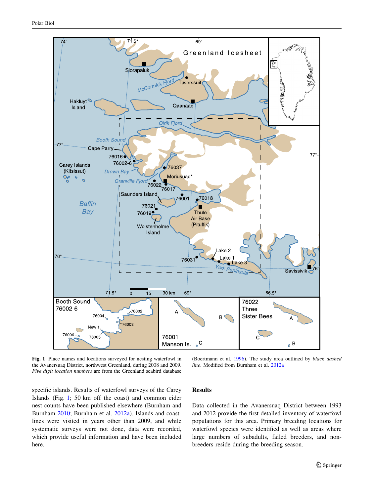<span id="page-3-0"></span>

Fig. 1 Place names and locations surveyed for nesting waterfowl in the Avanersuaq District, northwest Greenland, during 2008 and 2009. Five digit location numbers are from the Greenland seabird database

(Boertmann et al. [1996](#page-11-0)). The study area outlined by black dashed line. Modified from Burnham et al. [2012a](#page-11-0)

specific islands. Results of waterfowl surveys of the Carey Islands (Fig. 1; 50 km off the coast) and common eider nest counts have been published elsewhere (Burnham and Burnham [2010;](#page-11-0) Burnham et al. [2012a\)](#page-11-0). Islands and coastlines were visited in years other than 2009, and while systematic surveys were not done, data were recorded, which provide useful information and have been included here.

# Results

Data collected in the Avanersuaq District between 1993 and 2012 provide the first detailed inventory of waterfowl populations for this area. Primary breeding locations for waterfowl species were identified as well as areas where large numbers of subadults, failed breeders, and nonbreeders reside during the breeding season.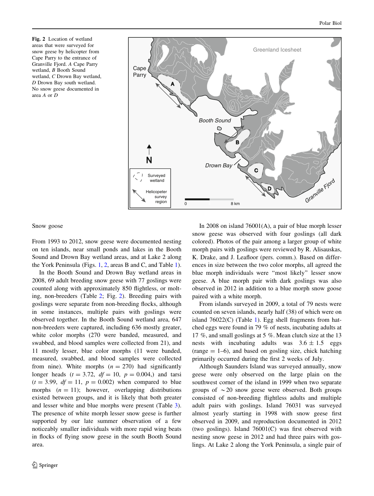<span id="page-4-0"></span>Fig. 2 Location of wetland areas that were surveyed for snow geese by helicopter from Cape Parry to the entrance of Granville Fjord. A Cape Parry wetland, B Booth Sound wetland, C Drown Bay wetland, D Drown Bay south wetland. No snow geese documented in area A or D



Snow goose

From 1993 to 2012, snow geese were documented nesting on ten islands, near small ponds and lakes in the Booth Sound and Drown Bay wetland areas, and at Lake 2 along the York Peninsula (Figs. [1](#page-3-0), 2, areas B and C, and Table [1](#page-5-0)).

In the Booth Sound and Drown Bay wetland areas in 2008, 69 adult breeding snow geese with 77 goslings were counted along with approximately 850 flightless, or molting, non-breeders (Table [2;](#page-9-0) Fig. 2). Breeding pairs with goslings were separate from non-breeding flocks, although in some instances, multiple pairs with goslings were observed together. In the Booth Sound wetland area, 647 non-breeders were captured, including 636 mostly greater, white color morphs (270 were banded, measured, and swabbed, and blood samples were collected from 21), and 11 mostly lesser, blue color morphs (11 were banded, measured, swabbed, and blood samples were collected from nine). White morphs  $(n = 270)$  had significantly longer heads  $(t = 3.72, df = 10, p = 0.004)$  and tarsi  $(t = 3.99, df = 11, p = 0.002)$  when compared to blue morphs  $(n = 11)$ ; however, overlapping distributions existed between groups, and it is likely that both greater and lesser white and blue morphs were present (Table [3](#page-9-0)). The presence of white morph lesser snow geese is further supported by our late summer observation of a few noticeably smaller individuals with more rapid wing beats in flocks of flying snow geese in the south Booth Sound area.

In 2008 on island 76001(A), a pair of blue morph lesser snow geese was observed with four goslings (all dark colored). Photos of the pair among a larger group of white morph pairs with goslings were reviewed by R. Alisauskas, K. Drake, and J. Leafloor (pers. comm.). Based on differences in size between the two color morphs, all agreed the blue morph individuals were ''most likely'' lesser snow geese. A blue morph pair with dark goslings was also observed in 2012 in addition to a blue morph snow goose paired with a white morph.

From islands surveyed in 2009, a total of 79 nests were counted on seven islands, nearly half (38) of which were on island  $76022(C)$  (Table [1](#page-5-0)). Egg shell fragments from hatched eggs were found in 79 % of nests, incubating adults at 17 %, and small goslings at 5 %. Mean clutch size at the 13 nests with incubating adults was  $3.6 \pm 1.5$  eggs  $(range = 1-6)$ , and based on gosling size, chick hatching primarily occurred during the first 2 weeks of July.

Although Saunders Island was surveyed annually, snow geese were only observed on the large plain on the southwest corner of the island in 1999 when two separate groups of  $\sim$  20 snow geese were observed. Both groups consisted of non-breeding flightless adults and multiple adult pairs with goslings. Island 76031 was surveyed almost yearly starting in 1998 with snow geese first observed in 2009, and reproduction documented in 2012 (two goslings). Island 76001(C) was first observed with nesting snow geese in 2012 and had three pairs with goslings. At Lake 2 along the York Peninsula, a single pair of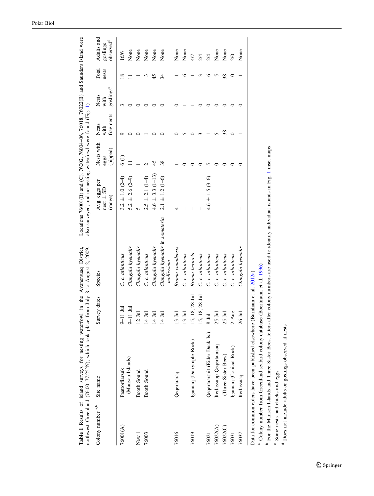|                   | Table 1 Results of island surveys for nesting waterfowl in the Avanersuaq District,<br>northwest Greenland (76.00-77.25°N), which took place from July 8 to August 2, 2009. |                              |                                                                                                                                                      | Locations 76001(B) and (C), 76002, 76004-06, 76018, 76022(B) and Saunders Island were<br>also surveyed, and no nesting waterfowl were found (Fig. 1) |                               |                            |                                        |                |                                                 |
|-------------------|-----------------------------------------------------------------------------------------------------------------------------------------------------------------------------|------------------------------|------------------------------------------------------------------------------------------------------------------------------------------------------|------------------------------------------------------------------------------------------------------------------------------------------------------|-------------------------------|----------------------------|----------------------------------------|----------------|-------------------------------------------------|
| Colony number a,b | Site name                                                                                                                                                                   | Survey dates                 | Species                                                                                                                                              | Avg. eggs per<br>$nest \pm SD$<br>(range)                                                                                                            | Nests with<br>(pipped)<br>egg | fragments<br>Nests<br>with | goslings <sup>c</sup><br>Nests<br>with | Total<br>nests | Adults and<br>observed <sup>d</sup><br>goslings |
| 76001(A)          | Paattorfiarsuk                                                                                                                                                              | $9-11$ Jul                   | C. c. atlanticus                                                                                                                                     | $3.2 \pm 1.0$ (2-4)                                                                                                                                  | 6(1)                          |                            |                                        | ∞              | 16/6                                            |
|                   | (Manson Islands)                                                                                                                                                            | $9-11$ Jul                   | Clangula hyemalis                                                                                                                                    | $5.2 \pm 2.6$ (2-9)                                                                                                                                  |                               |                            |                                        |                | None                                            |
| New 1             | Booth Sound                                                                                                                                                                 | $12 \text{ Jul}$             | Clangula hyemalis                                                                                                                                    |                                                                                                                                                      |                               |                            |                                        |                | None                                            |
| 76003             | Booth Sound                                                                                                                                                                 | $14$ Jul                     | C. c. atlanticus                                                                                                                                     | $2.5 \pm 2.1 (1-4)$                                                                                                                                  |                               |                            |                                        |                | None                                            |
|                   |                                                                                                                                                                             | $14 \mathrm{Jul}$            | Clangula hyemalis                                                                                                                                    | $4.6 \pm 3.3 \ (1 - 13)$                                                                                                                             | 45                            |                            |                                        |                | None                                            |
|                   |                                                                                                                                                                             | 耳<br>$\overline{4}$          | Clangula hyemalis in somateria<br>mollissima                                                                                                         | $2.1 \pm 1.2 (1 - 6)$                                                                                                                                | 38                            |                            |                                        | 34             | None                                            |
| 76016             | Qeqertaaraq                                                                                                                                                                 | 耳<br>Ŵ                       | Branta canadensis                                                                                                                                    |                                                                                                                                                      |                               |                            |                                        |                | None                                            |
|                   |                                                                                                                                                                             | E<br>$\epsilon$              | C. c. atlanticus                                                                                                                                     |                                                                                                                                                      |                               |                            |                                        |                | None                                            |
| 76019             | Igannaq (Dalrymple Rock)                                                                                                                                                    | 18, 28 Jul<br>$\overline{5}$ | Branta bernicla                                                                                                                                      | I                                                                                                                                                    |                               |                            |                                        |                | 4/7                                             |
|                   |                                                                                                                                                                             | 18, 28 Jul<br>۰,             | C. c. atlanticus                                                                                                                                     |                                                                                                                                                      |                               |                            |                                        |                | 2/4                                             |
| 76021             | Qeqertaarsuit (Eider Duck Is.)                                                                                                                                              | $8$ Jul                      | C. c. atlanticus                                                                                                                                     | $4.6 \pm 1.5 (3 - 6)$                                                                                                                                |                               |                            |                                        | ≏              | 2/4                                             |
| 76022(A)          | Iterlassuup Qeqertaarsuq                                                                                                                                                    | 25 Jul                       | C. c. atlanticus                                                                                                                                     |                                                                                                                                                      |                               |                            |                                        | 5              | None                                            |
| 76022(C)          | (Three Sister Bees)                                                                                                                                                         | Ξ<br>25                      | C. c. atlanticus                                                                                                                                     |                                                                                                                                                      |                               | 38                         |                                        | 38             | None                                            |
| 76031             | Igannaq (Conical Rock)                                                                                                                                                      | $2 \ \mathrm{Aug}$           | C. c. atlanticus                                                                                                                                     |                                                                                                                                                      |                               |                            |                                        |                | 2/0                                             |
| 76037             | Iterlassuaq                                                                                                                                                                 | 26 Jul                       | Clangula hyemalis                                                                                                                                    | I                                                                                                                                                    |                               |                            |                                        |                | None                                            |
|                   | Data for common eiders have been published elsewhere (Burnham et al. 2012a)                                                                                                 |                              |                                                                                                                                                      |                                                                                                                                                      |                               |                            |                                        |                |                                                 |
|                   | <sup>a</sup> Colony number from Greenland seabird colony database (Boertmann et al. 1996)                                                                                   |                              | <sup>b</sup> For the Manson Islands and Three Sister Bees, letters after colony numbers are used to identify individual islands in Fig. 1 inset maps |                                                                                                                                                      |                               |                            |                                        |                |                                                 |

<span id="page-5-0"></span>Polar Biol

<sup>c</sup> Some nests had chicks and eggs Some nests had chicks and eggs

<sup>d</sup> Does not include adults or goslings observed at nests Does not include adults or goslings observed at nests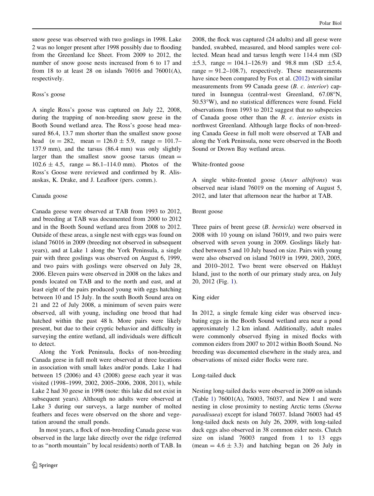snow geese was observed with two goslings in 1998. Lake 2 was no longer present after 1998 possibly due to flooding from the Greenland Ice Sheet. From 2009 to 2012, the number of snow goose nests increased from 6 to 17 and from 18 to at least 28 on islands  $76016$  and  $76001(A)$ , respectively.

### Ross's goose

A single Ross's goose was captured on July 22, 2008, during the trapping of non-breeding snow geese in the Booth Sound wetland area. The Ross's goose head measured 86.4, 13.7 mm shorter than the smallest snow goose head  $(n = 282, \text{ mean} = 126.0 \pm 5.9, \text{ range} = 101.7$ -137.9 mm), and the tarsus (86.4 mm) was only slightly larger than the smallest snow goose tarsus (mean  $=$  $102.6 \pm 4.5$ , range = 86.1–114.0 mm). Photos of the Ross's Goose were reviewed and confirmed by R. Alisauskas, K. Drake, and J. Leafloor (pers. comm.).

## Canada goose

Canada geese were observed at TAB from 1993 to 2012, and breeding at TAB was documented from 2000 to 2012 and in the Booth Sound wetland area from 2008 to 2012. Outside of these areas, a single nest with eggs was found on island 76016 in 2009 (breeding not observed in subsequent years), and at Lake 1 along the York Peninsula, a single pair with three goslings was observed on August 6, 1999, and two pairs with goslings were observed on July 28, 2006. Eleven pairs were observed in 2008 on the lakes and ponds located on TAB and to the north and east, and at least eight of the pairs produced young with eggs hatching between 10 and 15 July. In the south Booth Sound area on 21 and 22 of July 2008, a minimum of seven pairs were observed, all with young, including one brood that had hatched within the past 48 h. More pairs were likely present, but due to their cryptic behavior and difficulty in surveying the entire wetland, all individuals were difficult to detect.

Along the York Peninsula, flocks of non-breeding Canada geese in full molt were observed at three locations in association with small lakes and/or ponds. Lake 1 had between 15 (2006) and 43 (2008) geese each year it was visited (1998–1999, 2002, 2005–2006, 2008, 2011), while Lake 2 had 30 geese in 1998 (note: this lake did not exist in subsequent years). Although no adults were observed at Lake 3 during our surveys, a large number of molted feathers and feces were observed on the shore and vegetation around the small ponds.

In most years, a flock of non-breeding Canada geese was observed in the large lake directly over the ridge (referred to as ''north mountain'' by local residents) north of TAB. In

2008, the flock was captured (24 adults) and all geese were banded, swabbed, measured, and blood samples were collected. Mean head and tarsus length were 114.4 mm (SD  $\pm 5.3$ , range = 104.1–126.9) and 98.8 mm (SD  $\pm 5.4$ , range  $= 91.2 - 108.7$ , respectively. These measurements have since been compared by Fox et al. [\(2012](#page-11-0)) with similar measurements from 99 Canada geese (B. c. interior) captured in Isunngua (central-west Greenland, 67.08°N, 50.53W), and no statistical differences were found. Field observations from 1993 to 2012 suggest that no subspecies of Canada goose other than the B. c. interior exists in northwest Greenland. Although large flocks of non-breeding Canada Geese in full molt were observed at TAB and along the York Peninsula, none were observed in the Booth Sound or Drown Bay wetland areas.

# White-fronted goose

A single white-fronted goose (Anser albifrons) was observed near island 76019 on the morning of August 5, 2012, and later that afternoon near the harbor at TAB.

# Brent goose

Three pairs of brent geese (B. bernicla) were observed in 2008 with 10 young on island 76019, and two pairs were observed with seven young in 2009. Goslings likely hatched between 5 and 10 July based on size. Pairs with young were also observed on island 76019 in 1999, 2003, 2005, and 2010–2012. Two brent were observed on Hakluyt Island, just to the north of our primary study area, on July 20, 2012 (Fig. [1\)](#page-3-0).

# King eider

In 2012, a single female king eider was observed incubating eggs in the Booth Sound wetland area near a pond approximately 1.2 km inland. Additionally, adult males were commonly observed flying in mixed flocks with common eiders from 2007 to 2012 within Booth Sound. No breeding was documented elsewhere in the study area, and observations of mixed eider flocks were rare.

# Long-tailed duck

Nesting long-tailed ducks were observed in 2009 on islands (Table [1\)](#page-5-0) 76001(A), 76003, 76037, and New 1 and were nesting in close proximity to nesting Arctic terns (Sterna paradisaea) except for island 76037. Island 76003 had 45 long-tailed duck nests on July 26, 2009, with long-tailed duck eggs also observed in 38 common eider nests. Clutch size on island 76003 ranged from 1 to 13 eggs (mean  $= 4.6 \pm 3.3$ ) and hatching began on 26 July in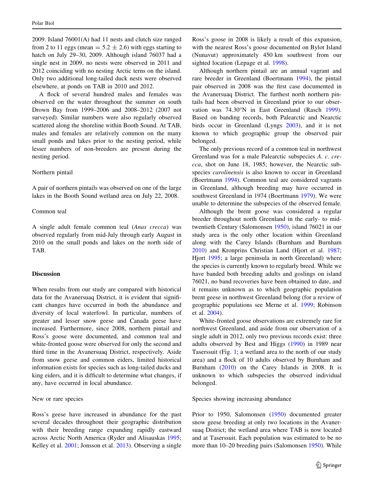2009. Island 76001(A) had 11 nests and clutch size ranged from 2 to 11 eggs (mean  $= 5.2 \pm 2.6$ ) with eggs starting to hatch on July 29–30, 2009. Although island 76037 had a single nest in 2009, no nests were observed in 2011 and 2012 coinciding with no nesting Arctic terns on the island. Only two additional long-tailed duck nests were observed elsewhere, at ponds on TAB in 2010 and 2012.

A flock of several hundred males and females was observed on the water throughout the summer on south Drown Bay from 1999–2006 and 2008–2012 (2007 not surveyed). Similar numbers were also regularly observed scattered along the shoreline within Booth Sound. At TAB, males and females are relatively common on the many small ponds and lakes prior to the nesting period, while lesser numbers of non-breeders are present during the nesting period.

## Northern pintail

A pair of northern pintails was observed on one of the large lakes in the Booth Sound wetland area on July 22, 2008.

# Common teal

A single adult female common teal (Anas crecca) was observed regularly from mid-July through early August in 2010 on the small ponds and lakes on the north side of TAB.

# **Discussion**

When results from our study are compared with historical data for the Avanersuaq District, it is evident that significant changes have occurred in both the abundance and diversity of local waterfowl. In particular, numbers of greater and lesser snow geese and Canada geese have increased. Furthermore, since 2008, northern pintail and Ross's goose were documented, and common teal and white-fronted goose were observed for only the second and third time in the Avanersuaq District, respectively. Aside from snow geese and common eiders, limited historical information exists for species such as long-tailed ducks and king eiders, and it is difficult to determine what changes, if any, have occurred in local abundance.

#### New or rare species

Ross's geese have increased in abundance for the past several decades throughout their geographic distribution with their breeding range expanding rapidly eastward across Arctic North America (Ryder and Alisauskas [1995](#page-12-0); Kelley et al. [2001;](#page-11-0) Jonsson et al. [2013](#page-11-0)). Observing a single Ross's goose in 2008 is likely a result of this expansion, with the nearest Ross's goose documented on Bylot Island (Nunavut) approximately 450 km southwest from our sighted location (Lepage et al. [1998\)](#page-11-0).

Although northern pintail are an annual vagrant and rare breeder in Greenland (Boertmann [1994\)](#page-11-0), the pintail pair observed in 2008 was the first case documented in the Avanersuaq District. The furthest north northern pintails had been observed in Greenland prior to our obser-vation was 74.30°N in East Greenland (Rasch [1999](#page-12-0)). Based on banding records, both Palearctic and Nearctic birds occur in Greenland (Lyngs [2003](#page-11-0)), and it is not known to which geographic group the observed pair belonged.

The only previous record of a common teal in northwest Greenland was for a male Palearctic subspecies A. c. crecca, shot on June 18, 1985; however, the Nearctic subspecies *carolinensis* is also known to occur in Greenland (Boertmann [1994\)](#page-11-0). Common teal are considered vagrants in Greenland, although breeding may have occurred in southwest Greenland in 1974 (Boertmann [1979\)](#page-10-0). We were unable to determine the subspecies of the observed female.

Although the brent goose was considered a regular breeder throughout north Greenland in the early- to midtwentieth Century (Salomonsen [1950\)](#page-12-0), island 76021 in our study area is the only other location within Greenland along with the Carey Islands (Burnham and Burnham [2010](#page-11-0)) and Kronprins Christian Land (Hjort et al. [1987](#page-11-0); Hjort [1995](#page-11-0); a large peninsula in north Greenland) where the species is currently known to regularly breed. While we have banded both breeding adults and goslings on island 76021, no band recoveries have been obtained to date, and it remains unknown as to which geographic population brent geese in northwest Greenland belong (for a review of geographic populations see Merne et al. [1999;](#page-11-0) Robinson et al. [2004\)](#page-12-0).

White-fronted goose observations are extremely rare for northwest Greenland, and aside from our observation of a single adult in 2012, only two previous records exist: three adults observed by Best and Higgs [\(1990](#page-10-0)) in 1989 near Taserssuit (Fig. [1](#page-3-0); a wetland area to the north of our study area) and a flock of 10 adults observed by Burnham and Burnham ([2010\)](#page-11-0) on the Carey Islands in 2008. It is unknown to which subspecies the observed individual belonged.

### Species showing increasing abundance

Prior to 1950, Salomonsen [\(1950](#page-12-0)) documented greater snow geese breeding at only two locations in the Avanersuaq District; the wetland area where TAB is now located and at Taserssuit. Each population was estimated to be no more than 10–20 breeding pairs (Salomonsen [1950](#page-12-0)). While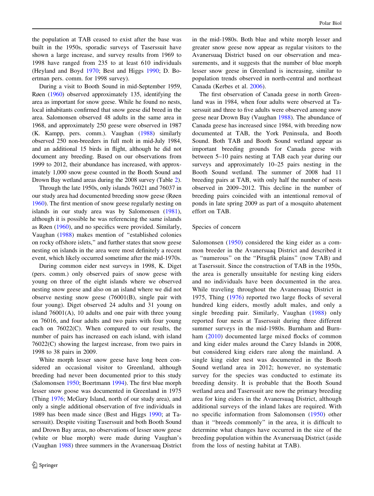the population at TAB ceased to exist after the base was built in the 1950s, sporadic surveys of Taserssuit have shown a large increase, and survey results from 1969 to 1998 have ranged from 235 to at least 610 individuals (Heyland and Boyd [1970](#page-11-0); Best and Higgs [1990](#page-10-0); D. Boertman pers. comm. for 1998 survey).

During a visit to Booth Sound in mid-September 1959, Røen ([1960](#page-12-0)) observed approximately 135, identifying the area as important for snow geese. While he found no nests, local inhabitants confirmed that snow geese did breed in the area. Salomonsen observed 48 adults in the same area in 1968, and approximately 250 geese were observed in 1987 (K. Kampp, pers. comm.). Vaughan ([1988](#page-12-0)) similarly observed 250 non-breeders in full molt in mid-July 1984, and an additional 15 birds in flight, although he did not document any breeding. Based on our observations from 1999 to 2012, their abundance has increased, with approximately 1,000 snow geese counted in the Booth Sound and Drown Bay wetland areas during the 2008 survey (Table [2](#page-9-0)).

Through the late 1950s, only islands 76021 and 76037 in our study area had documented breeding snow geese (Røen [1960\)](#page-12-0). The first mention of snow geese regularly nesting on islands in our study area was by Salomonsen [\(1981](#page-12-0)), although it is possible he was referencing the same islands as Røen ([1960\)](#page-12-0), and no specifics were provided. Similarly, Vaughan ([1988\)](#page-12-0) makes mention of ''established colonies on rocky offshore islets,'' and further states that snow geese nesting on islands in the area were most definitely a recent event, which likely occurred sometime after the mid-1970s.

During common eider nest surveys in 1998, K. Diget (pers. comm.) only observed pairs of snow geese with young on three of the eight islands where we observed nesting snow geese and also on an island where we did not observe nesting snow geese (76001(B), single pair with four young). Diget observed 24 adults and 31 young on island  $76001(A)$ , 10 adults and one pair with three young on 76016, and four adults and two pairs with four young each on 76022(C). When compared to our results, the number of pairs has increased on each island, with island 76022(C) showing the largest increase, from two pairs in 1998 to 38 pairs in 2009.

White morph lesser snow geese have long been considered an occasional visitor to Greenland, although breeding had never been documented prior to this study (Salomonsen [1950;](#page-12-0) Boertmann [1994](#page-11-0)). The first blue morph lesser snow goose was documented in Greenland in 1975 (Thing [1976](#page-12-0); McGary Island, north of our study area), and only a single additional observation of five individuals in 1989 has been made since (Best and Higgs [1990](#page-10-0); at Taserssuit). Despite visiting Taserssuit and both Booth Sound and Drown Bay areas, no observations of lesser snow geese (white or blue morph) were made during Vaughan's (Vaughan [1988](#page-12-0)) three summers in the Avanersuaq District in the mid-1980s. Both blue and white morph lesser and greater snow geese now appear as regular visitors to the Avanersuaq District based on our observation and measurements, and it suggests that the number of blue morph lesser snow geese in Greenland is increasing, similar to population trends observed in north-central and northeast Canada (Kerbes et al. [2006](#page-11-0)).

The first observation of Canada geese in north Greenland was in 1984, when four adults were observed at Taserssuit and three to five adults were observed among snow geese near Drown Bay (Vaughan [1988](#page-12-0)). The abundance of Canada geese has increased since 1984, with breeding now documented at TAB, the York Peninsula, and Booth Sound. Both TAB and Booth Sound wetland appear as important breeding grounds for Canada geese with between 5–10 pairs nesting at TAB each year during our surveys and approximately 10–25 pairs nesting in the Booth Sound wetland. The summer of 2008 had 11 breeding pairs at TAB, with only half the number of nests observed in 2009–2012. This decline in the number of breeding pairs coincided with an intentional removal of ponds in late spring 2009 as part of a mosquito abatement effort on TAB.

### Species of concern

Salomonsen [\(1950\)](#page-12-0) considered the king eider as a common breeder in the Avanersuaq District and described it as ''numerous'' on the ''Pitugfik plains'' (now TAB) and at Taserssuit. Since the construction of TAB in the 1950s, the area is generally unsuitable for nesting king eiders and no individuals have been documented in the area. While traveling throughout the Avanersuaq District in 1975, Thing ([1976](#page-12-0)) reported two large flocks of several hundred king eiders, mostly adult males, and only a single breeding pair. Similarly, Vaughan [\(1988\)](#page-12-0) only reported four nests at Taserssuit during three different summer surveys in the mid-1980s. Burnham and Burnham [\(2010\)](#page-11-0) documented large mixed flocks of common and king eider males around the Carey Islands in 2008, but considered king eiders rare along the mainland. A single king eider nest was documented in the Booth Sound wetland area in 2012; however, no systematic survey for the species was conducted to estimate its breeding density. It is probable that the Booth Sound wetland area and Taserssuit are now the primary breeding area for king eiders in the Avanersuaq District, although additional surveys of the inland lakes are required. With no specific information from Salomonsen [\(1950\)](#page-12-0) other than it ''breeds commonly'' in the area, it is difficult to determine what changes have occurred in the size of the breeding population within the Avanersuaq District (aside from the loss of nesting habitat at TAB).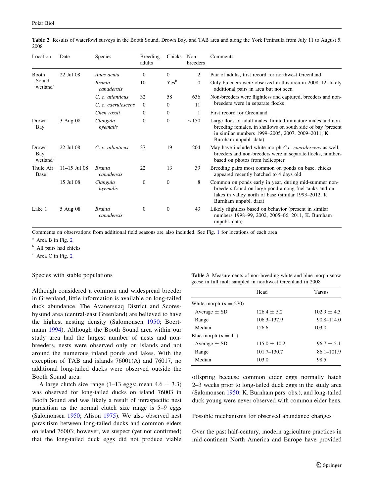| Location                             | Date             | Species                     | Breeding<br>adults | Chicks           | Non-<br>breeders | Comments                                                                                                                                                                                                 |
|--------------------------------------|------------------|-----------------------------|--------------------|------------------|------------------|----------------------------------------------------------------------------------------------------------------------------------------------------------------------------------------------------------|
| Booth                                | 22 Jul 08        | Anas acuta                  | $\mathbf{0}$       | $\mathbf{0}$     | 2                | Pair of adults, first record for northwest Greenland                                                                                                                                                     |
| Sound<br>wetland <sup>a</sup>        |                  | <b>Branta</b><br>canadensis | 10                 | Yes <sup>b</sup> | $\overline{0}$   | Only breeders were observed in this area in 2008–12, likely<br>additional pairs in area but not seen                                                                                                     |
|                                      |                  | C. c. atlanticus            | 32                 | 58               | 636              | Non-breeders were flightless and captured, breeders and non-                                                                                                                                             |
|                                      |                  | C. c. caerulescens          | $\mathbf{0}$       | $\Omega$         | 11               | breeders were in separate flocks                                                                                                                                                                         |
|                                      |                  | Chen rossii                 | $\mathbf{0}$       | $\mathbf{0}$     | 1                | First record for Greenland                                                                                                                                                                               |
| Drown<br>Bay                         | 3 Aug 08         | Clangula<br>hyemalis        | $\boldsymbol{0}$   | $\mathbf{0}$     | $\sim$ 150       | Large flock of adult males, limited immature males and non-<br>breeding females, in shallows on south side of bay (present<br>in similar numbers 1999-2005, 2007, 2009-2011, K.<br>Burnham unpubl. data) |
| Drown<br>Bay<br>wetland <sup>c</sup> | 22 Jul 08        | C. c. atlanticus            | 37                 | 19               | 204              | May have included white morph <i>C.c. caerulescens</i> as well,<br>breeders and non-breeders were in separate flocks, numbers<br>based on photos from helicopter                                         |
| Thule Air<br>Base                    | $11 - 15$ Jul 08 | <b>Branta</b><br>canadensis | 22                 | 13               | 39               | Breeding pairs most common on ponds on base, chicks<br>appeared recently hatched to 4 days old                                                                                                           |
|                                      | 15 Jul 08        | Clangula<br>hyemalis        | $\mathbf{0}$       | $\mathbf{0}$     | 8                | Common on ponds early in year, during mid-summer non-<br>breeders found on large pond among fuel tanks and on<br>lakes in valley north of base (similar 1993-2012, K.<br>Burnham unpubl. data)           |
| Lake 1                               | 5 Aug 08         | <b>Branta</b><br>canadensis | $\boldsymbol{0}$   | $\mathbf{0}$     | 43               | Likely flightless based on behavior (present in similar<br>numbers 1998–99, 2002, 2005–06, 2011, K. Burnham<br>unpubl. data)                                                                             |

<span id="page-9-0"></span>Table 2 Results of waterfowl surveys in the Booth Sound, Drown Bay, and TAB area and along the York Peninsula from July 11 to August 5, 2008

Comments on observations from additional field seasons are also included. See Fig. [1](#page-3-0) for locations of each area

 $a$  Area B in Fig. [2](#page-4-0)

<sup>b</sup> All pairs had chicks

<sup>c</sup> Area C in Fig. [2](#page-4-0)

# Species with stable populations

Although considered a common and widespread breeder in Greenland, little information is available on long-tailed duck abundance. The Avanersuaq District and Scoresbysund area (central-east Greenland) are believed to have the highest nesting density (Salomonsen [1950](#page-12-0); Boertmann [1994\)](#page-11-0). Although the Booth Sound area within our study area had the largest number of nests and nonbreeders, nests were observed only on islands and not around the numerous inland ponds and lakes. With the exception of TAB and islands 76001(A) and 76017, no additional long-tailed ducks were observed outside the Booth Sound area.

A large clutch size range (1–13 eggs; mean  $4.6 \pm 3.3$ ) was observed for long-tailed ducks on island 76003 in Booth Sound and was likely a result of intraspecific nest parasitism as the normal clutch size range is 5–9 eggs (Salomonsen [1950](#page-12-0); Alison [1975\)](#page-10-0). We also observed nest parasitism between long-tailed ducks and common eiders on island 76003; however, we suspect (yet not confirmed) that the long-tailed duck eggs did not produce viable

Table 3 Measurements of non-breeding white and blue morph snow geese in full molt sampled in northwest Greenland in 2008

|                         | Head             | <b>Tarsus</b>   |
|-------------------------|------------------|-----------------|
| White morph $(n = 270)$ |                  |                 |
| Average $\pm$ SD        | $126.4 \pm 5.2$  | $102.9 \pm 4.3$ |
| Range                   | 106.3–137.9      | $90.8 - 114.0$  |
| Median                  | 126.6            | 103.0           |
| Blue morph $(n = 11)$   |                  |                 |
| Average $\pm$ SD        | $115.0 \pm 10.2$ | $96.7 \pm 5.1$  |
| Range                   | 101.7–130.7      | $86.1 - 101.9$  |
| Median                  | 103.0            | 98.5            |
|                         |                  |                 |

offspring because common eider eggs normally hatch 2–3 weeks prior to long-tailed duck eggs in the study area (Salomonsen [1950;](#page-12-0) K. Burnham pers. obs.), and long-tailed duck young were never observed with common eider hens.

Possible mechanisms for observed abundance changes

Over the past half-century, modern agriculture practices in mid-continent North America and Europe have provided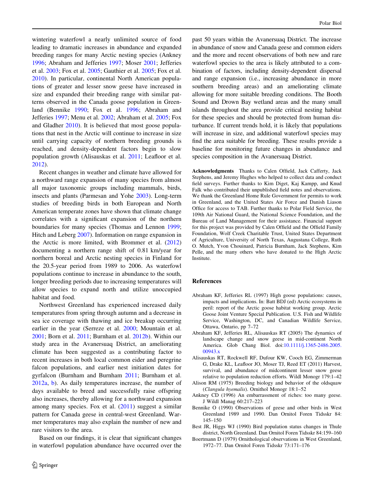<span id="page-10-0"></span>wintering waterfowl a nearly unlimited source of food leading to dramatic increases in abundance and expanded breeding ranges for many Arctic nesting species (Ankney 1996; Abraham and Jefferies 1997; Moser [2001;](#page-12-0) Jefferies et al. [2003](#page-11-0); Fox et al. [2005;](#page-11-0) Gauthier et al. [2005;](#page-11-0) Fox et al. [2010\)](#page-11-0). In particular, continental North American populations of greater and lesser snow geese have increased in size and expanded their breeding range with similar patterns observed in the Canada goose population in Greenland (Bennike 1990; Fox et al. [1996](#page-11-0); Abraham and Jefferies 1997; Menu et al. [2002;](#page-11-0) Abraham et al. 2005; Fox and Gladher [2010](#page-11-0)). It is believed that most goose populations that nest in the Arctic will continue to increase in size until carrying capacity of northern breeding grounds is reached, and density-dependent factors begin to slow population growth (Alisauskas et al. 2011; Leafloor et al. [2012\)](#page-11-0).

Recent changes in weather and climate have allowed for a northward range expansion of many species from almost all major taxonomic groups including mammals, birds, insects and plants (Parmesan and Yohe [2003\)](#page-12-0). Long-term studies of breeding birds in both European and North American temperate zones have shown that climate change correlates with a significant expansion of the northern boundaries for many species (Thomas and Lennon [1999](#page-12-0); Hitch and Leberg [2007](#page-11-0)). Information on range expansion in the Arctic is more limited, with Brommer et al. ([2012\)](#page-11-0) documenting a northern range shift of 0.81 km/year for northern boreal and Arctic nesting species in Finland for the 20.5-year period from 1989 to 2006. As waterfowl populations continue to increase in abundance to the south, longer breeding periods due to increasing temperatures will allow species to expand north and utilize unoccupied habitat and food.

Northwest Greenland has experienced increased daily temperatures from spring through autumn and a decrease in sea ice coverage with thawing and ice breakup occurring earlier in the year (Serreze et al. [2000;](#page-12-0) Mountain et al. [2001;](#page-12-0) Born et al. [2011;](#page-11-0) Burnham et al. [2012b](#page-11-0)). Within our study area in the Avanersuaq District, an ameliorating climate has been suggested as a contributing factor to recent increases in both local common eider and peregrine falcon populations, and earlier nest initiation dates for gyrfalcon (Burnham and Burnham [2011](#page-11-0); Burnham et al. [2012a](#page-11-0), [b\)](#page-11-0). As daily temperatures increase, the number of days available to breed and successfully raise offspring also increases, thereby allowing for a northward expansion among many species. Fox et al. ([2011\)](#page-11-0) suggest a similar pattern for Canada geese in central-west Greenland. Warmer temperatures may also explain the number of new and rare visitors to the area.

Based on our findings, it is clear that significant changes in waterfowl population abundance have occurred over the

past 50 years within the Avanersuaq District. The increase in abundance of snow and Canada geese and common eiders and the more and recent observations of both new and rare waterfowl species to the area is likely attributed to a combination of factors, including density-dependent dispersal and range expansion (i.e., increasing abundance in more southern breeding areas) and an ameliorating climate allowing for more suitable breeding conditions. The Booth Sound and Drown Bay wetland areas and the many small islands throughout the area provide critical nesting habitat for these species and should be protected from human disturbance. If current trends hold, it is likely that populations will increase in size, and additional waterfowl species may find the area suitable for breeding. These results provide a baseline for monitoring future changes in abundance and species composition in the Avanersuaq District.

Acknowledgments Thanks to Calen Offield, Jack Cafferty, Jack Stephens, and Jeremy Hughes who helped to collect data and conduct field surveys. Further thanks to Kim Diget, Kaj Kampp, and Knud Falk who contributed their unpublished field notes and observations. We thank the Greenland Home Rule Government for permits to work in Greenland, and the United States Air Force and Danish Liason Office for access to TAB. Further thanks to Polar Field Service, the 109th Air National Guard, the National Science Foundation, and the Bureau of Land Management for their assistance. Financial support for this project was provided by Calen Offield and the Offield Family Foundation, Wolf Creek Charitable Trust, United States Department of Agriculture, University of North Texas, Augustana College, Ruth O. Mutch, Yvon Chouinard, Patricia Burnham, Jack Stephens, Kim Pelle, and the many others who have donated to the High Arctic **Institute** 

### References

- Abraham KF, Jefferies RL (1997) High goose populations: causes, impacts and implications. In: Batt BDJ (ed) Arctic ecosystems in peril: report of the Arctic goose habitat working group. Arctic Goose Joint Venture Special Publication. U.S. Fish and Wildlife Service, Washington, DC, and Canadian Wildlife Service, Ottawa, Ontario, pp 7–72
- Abraham KF, Jefferies RL, Alisauskas RT (2005) The dynamics of landscape change and snow geese in mid-continent North America. Glob Chang Biol. doi:[10.1111/j.1365-2486.2005.](http://dx.doi.org/10.1111/j.1365-2486.2005.00943.x) [00943.x](http://dx.doi.org/10.1111/j.1365-2486.2005.00943.x)
- Alisauskas RT, Rockwell RF, Dufour KW, Cooch EG, Zimmerman G, Drake KL, Leafloor JO, Moser TJ, Reed ET (2011) Harvest, survival, and abundance of midcontinent lesser snow geese relative to population reduction efforts. Wildl Monogr 179:1–42
- Alison RM (1975) Breeding biology and behavior of the oldsquaw (Clangula hyemalis). Ornithol Monogr 18:1–52
- Ankney CD (1996) An embarrassment of riches: too many geese. J Wildl Manag 60:217–223
- Bennike O (1990) Observations of geese and other birds in West Greenland 1989 and 1990. Dan Ornitol Foren Tidsskr 84: 145–150
- Best JR, Higgs WJ (1990) Bird population status changes in Thule district, North Greenland. Dan Ornitol Foren Tidsskr 84:159–160
- Boertmann D (1979) Ornithological observations in West Greenland, 1972–77. Dan Ornitol Foren Tidsskr 73:171–176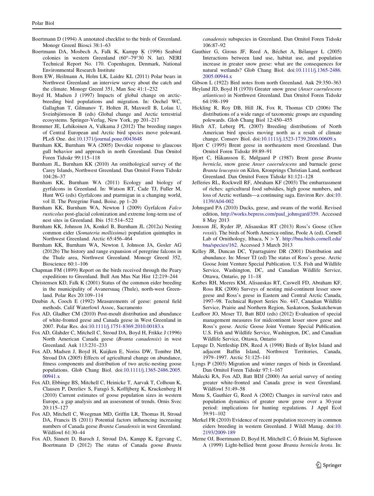- <span id="page-11-0"></span>Boertmann D (1994) A annotated checklist to the birds of Greenland. Monogr Greenl Biosci 38:1–63
- Boertmann DA, Mosbech A, Falk K, Kampp K (1996) Seabird colonies in western Greenland  $(60^{\circ}-79^{\circ}30^{\circ}$  N. lat). NERI Technical Report No. 170. Copenhagen, Denmark, National Environmental Research Institute
- Born EW, Heilmann A, Holm LK, Laidre KL (2011) Polar bears in Northwest Greenland: an interview survey about the catch and the climate. Monogr Greenl 351, Man Soc 41:1–232
- Boyd H, Madsen J (1997) Impacts of global change on arcticbreeding bird populations and migration. In: Oechel WC, Gallaghan T, Gilmanov T, Holten JI, Maxwell B, Lolau U, Sveinbjörnsson B (eds) Global change and Arctic terrestrial ecosystems. Springer-Verlag, New York, pp 201–217
- Brommer JE, Lehikoinen A, Valkama J (2012) The breeding ranges of Central European and Arctic bird species move poleward. PLoS One. doi:[10.1371/journal.pone.0043648](http://dx.doi.org/10.1371/journal.pone.0043648)
- Burnham KK, Burnham WA (2005) Dovekie response to glaucous gull behavior and approach in north Greenland. Dan Ornitol Foren Tidsskr 99:115–118
- Burnham JL, Burnham KK (2010) An ornithological survey of the Carey Islands, Northwest Greenland. Dan Ornitol Foren Tidsskr 104:26–37
- Burnham KK, Burnham WA (2011) Ecology and biology of gyrfalcons in Greenland. In: Watson RT, Cade TJ, Fuller M, Hunt WG (eds) Gyrfalcons and ptarmigan in a changing world, vol II. The Peregrine Fund, Boise, pp 1–20
- Burnham KK, Burnham WA, Newton I (2009) Gyrfalcon Falco rusticolus post-glacial colonization and extreme long-term use of nest sites in Greenland. Ibis 151:514–522
- Burnham KK, Johnson JA, Konkel B, Burnham JL (2012a) Nesting common eider (Somateria mollissima) population quintuples in Northwest Greenland. Arctic 65:456–464
- Burnham KK, Burnham WA, Newton I, Johnson JA, Gosler AG (2012b) The history and range expansion of peregrine falcons in the Thule area, Northwest Greenland. Monogr Greenl 352, Bioscience 60:1–106
- Chapman FM (1899) Report on the birds received through the Peary expeditions to Greenland. Bull Am Mus Nat Hist 12:219–244
- Christensen KD, Falk K (2001) Status of the common eider breeding in the municipality of Avanersuaq (Thule), north-west Greenland. Polar Res 20:109–114
- Dzubin A, Cooch E (1992) Measurements of geese: general field methods. Calif Waterfowl Assoc, Sacramento
- Fox AD, Gladher CM (2010) Post-moult distribution and abundance of white-fronted geese and Canada geese in West Greenland in 2007. Polar Res. doi:[10.1111/j.1751-8369.2010.00183.x](http://dx.doi.org/10.1111/j.1751-8369.2010.00183.x)
- Fox AD, Glahder C, Mitchell C, Stroud DA, Boyd H, Frikke J (1996) North American Canada geese (Branta canadensis) in west Greenland. Auk 113:231–233
- Fox AD, Madsen J, Boyd H, Kuijken E, Noriss DW, Tombre IM, Stroud DA (2005) Effects of agricultural change on abundance, fitness components and distribution of two arctic-nesting goose populations. Glob Chang Biol. doi:[10.1111/j.1365-2486.2005.](http://dx.doi.org/10.1111/j.1365-2486.2005.00941.x) [00941.x](http://dx.doi.org/10.1111/j.1365-2486.2005.00941.x)
- Fox AD, Ebbinge BS, Mitchell C, Heinicke T, Aarvak T, Colhoun K, Clausen P, Dereliev S, Faragó S, Koffijberg K, Kruckenberg H (2010) Current estimates of goose population sizes in western Europe, a gap analysis and an assessment of trends. Ornis Svec 20:115–127
- Fox AD, Mitchell C, Weegman MD, Griffin LR, Thomas H, Stroud DA, Francis IS (2011) Potential factors influencing increasing numbers of Canada geese Branta Canadensis in west Greenland. Wildfowl 61:30–44
- Fox AD, Sinnett D, Baroch J, Stroud DA, Kampp K, Egevang C, Boertmann D (2012) The status of Canada goose Branta

canadensis subspecies in Greenland. Dan Ornitol Foren Tidsskr 106:87–92

Gauthier G, Girous JF, Reed A, Béchet A, Bélanger L (2005) Interactions between land use, habitat use, and population increase in greater snow geese: what are the consequences for natural wetlands? Glob Chang Biol. doi[:10.1111/j.1365-2486.](http://dx.doi.org/10.1111/j.1365-2486.2005.00944.x) [2005.00944.x](http://dx.doi.org/10.1111/j.1365-2486.2005.00944.x)

Gibson L (1922) Bird notes from north Greenland. Auk 29:350–363

Heyland JD, Boyd H (1970) Greater snow geese (Anser caerulescens atlanticus) in Northwest Greenland. Dan Ornitol Foren Tidsskr 64:198–199

- Hickling R, Roy DB, Hill JK, Fox R, Thomas CD (2006) The distributions of a wide range of taxonomic groups are expanding polewards. Glob Chang Biol 12:450–455
- Hitch AT, Leberg PL (2007) Breeding distributions of North American bird species moving north as a result of climate change. Conserv Biol. doi[:10.1111/j.1523-1739.2006.00609.x](http://dx.doi.org/10.1111/j.1523-1739.2006.00609.x)
- Hjort C (1995) Brent geese in northeastern most Greenland. Dan Ornitol Foren Tidsskr 89:89–91
- Hjort C, Håkansson E, Mølgaard P (1987) Brent geese Branta bernicla, snow geese Anser caeerulescens and barnacle geese Branta leucopsis on Kilen, Kronprings Christian Land, northeast Greenland. Dan Ornitol Foren Tidsskr 81:121–128
- Jefferies RL, Rockwell RF, Abraham KF (2003) The embarrassment of riches: agricultural food subsidies, high goose numbers, and loss of Arctic wetlands—a continuing saga. Environ Rev. doi:[10.](http://dx.doi.org/10.1139/A04-002) [1139/A04-002](http://dx.doi.org/10.1139/A04-002)
- Johnsgard PA (2010) Ducks, geese, and swans of the world. Revised edition, [http://works.bepress.com/paul\\_johnsgard/359](http://works.bepress.com/paul_johnsgard/359). Accessed 8 May 2013
- Jonsson JE, Ryder JP, Alisauskas RT (2013) Ross's Goose (Chen rossii). The birds of North America online, Poole A (ed). Cornell Lab of Ornithology, Ithaca,  $N > Y$ . [http://bna.birds.cornell.edu/](http://bna.birds.cornell.edu/bna/species/162) [bna/species/162](http://bna.birds.cornell.edu/bna/species/162). Accessed 3 March 2013
- Kelley JR, Duncan DC, Yparraguirre DR (2001) Distribution and abundance. In: Moser TJ (ed) The status of Ross's geese. Arctic Goose Joint Venture Special Publication. U.S. Fish and Wildlife Service, Washington, DC, and Canadian Wildlife Service, Ottawa, Ontario, pp 11–18
- Kerbes RH, Meeres KM, Alisauskas RT, Caswell FD, Abraham KF, Ross RK (2006) Surveys of nesting mid-continent lesser snow geese and Ross's geese in Eastern and Central Arctic Canada, 1997–98. Technical Report Series No. 447, Canadian Wildlife Service, Prairie and Northern Region, Saskatoon, Saskatchewan
- Leafloor JO, Moser TJ, Batt BDJ (eds) (2012) Evaluation of special management measures for midcontinent lesser snow geese and Ross's geese. Arctic Goose Joint Venture Special Publication. U.S. Fish and Wildlife Service, Washington, DC, and Canadian Wildlife Service, Ottawa, Ontario
- Lepage D, Nettleship DN, Reed A (1998) Birds of Bylot Island and adjacent Baffin Island, Northwest Territories, Canada, 1979–1997. Arctic 51:125–141
- Lyngs P (2003) Migration and winter ranges of birds in Greenland. Dan Ornitol Foren Tidsskr 97:1–167
- Malecki RA, Fox AD, Batt BDJ (2000) An aerial survey of nesting greater white-fronted and Canada geese in west Greenland. Wildfowl 51:49–58
- Menu S, Gauthier G, Reed A (2002) Changes in survival rates and population dynamics of greater snow geese over a 30-year period: implications for hunting regulations. J Appl Ecol 39:91–102
- Merkel FR (2010) Evidence of recent population recovery in common eiders breeding in western Greenland. J Wildl Manag. doi:[10.](http://dx.doi.org/10.2193/2009-189) [2193/2009-189](http://dx.doi.org/10.2193/2009-189)
- Merne OJ, Boertmann D, Boyd H, Mitchell C, Ó Briain M, Sigfusson A (1999) Light-bellied brent goose Branta bernicla hrota. In: